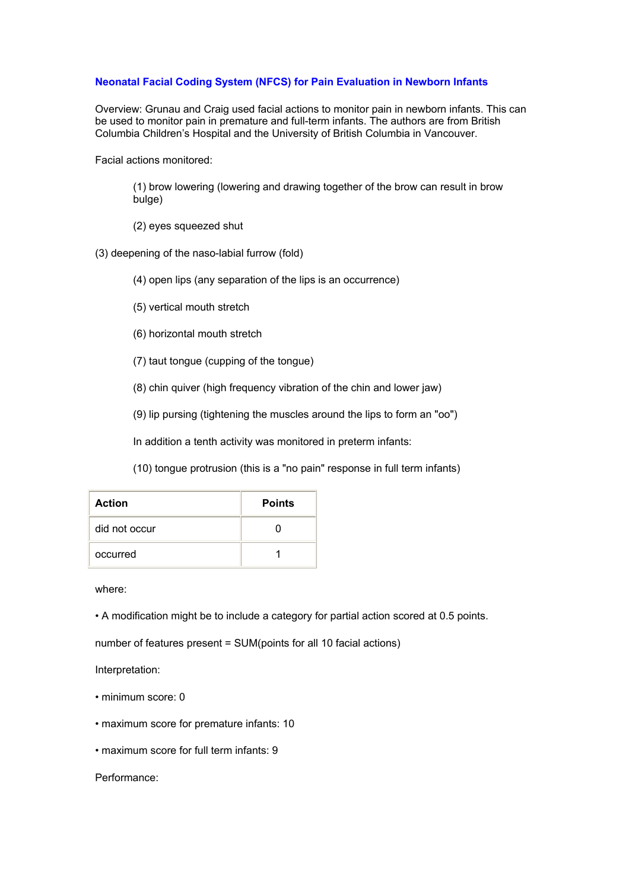## **Neonatal Facial Coding System (NFCS) for Pain Evaluation in Newborn Infants**

Overview: Grunau and Craig used facial actions to monitor pain in newborn infants. This can be used to monitor pain in premature and full-term infants. The authors are from British Columbia Children's Hospital and the University of British Columbia in Vancouver.

Facial actions monitored:

(1) brow lowering (lowering and drawing together of the brow can result in brow bulge)

(2) eyes squeezed shut

(3) deepening of the naso-labial furrow (fold)

- (4) open lips (any separation of the lips is an occurrence)
- (5) vertical mouth stretch
- (6) horizontal mouth stretch
- (7) taut tongue (cupping of the tongue)

(8) chin quiver (high frequency vibration of the chin and lower jaw)

(9) lip pursing (tightening the muscles around the lips to form an "oo")

In addition a tenth activity was monitored in preterm infants:

(10) tongue protrusion (this is a "no pain" response in full term infants)

| <b>Action</b> | <b>Points</b> |
|---------------|---------------|
| did not occur |               |
| occurred      |               |

where:

• A modification might be to include a category for partial action scored at 0.5 points.

number of features present = SUM(points for all 10 facial actions)

Interpretation:

- minimum score: 0
- maximum score for premature infants: 10
- maximum score for full term infants: 9

Performance: